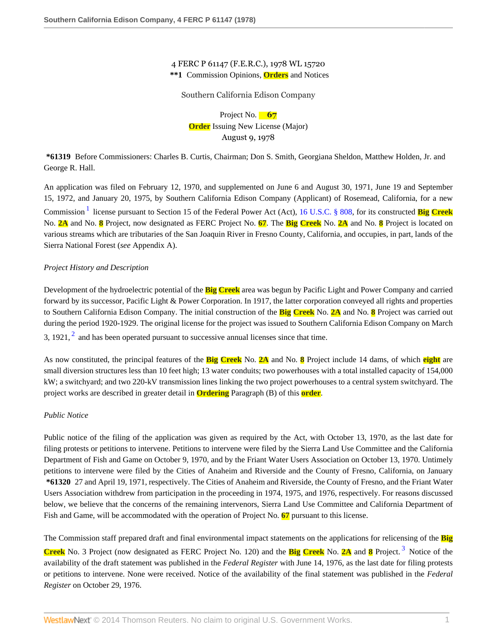## 4 FERC P 61147 (F.E.R.C.), 1978 WL 15720 **\*\*1** Commission Opinions, **Orders** and Notices

### Southern California Edison Company

Project No. **67 Order** Issuing New License (Major) August 9, 1978

**\*61319** Before Commissioners: Charles B. Curtis, Chairman; Don S. Smith, Georgiana Sheldon, Matthew Holden, Jr. and George R. Hall.

<span id="page-0-0"></span>An application was filed on February 12, 1970, and supplemented on June 6 and August 30, 1971, June 19 and September 15, 1972, and January 20, 1975, by Southern California Edison Company (Applicant) of Rosemead, California, for a new Commission<sup>[1](#page-17-0)</sup> license pursuant to Section 15 of the Federal Power Act (Act), [16 U.S.C. § 808](http://www.westlaw.com/Link/Document/FullText?findType=L&pubNum=1000546&cite=16USCAS808&originatingDoc=I33cd8e31393911dbbb4d83d7c3c3a165&refType=LQ&originationContext=document&vr=3.0&rs=cblt1.0&transitionType=DocumentItem&contextData=(sc.Search)), for its constructed **Big Creek** No. **2A** and No. **8** Project, now designated as FERC Project No. **67**. The **Big Creek** No. **2A** and No. **8** Project is located on various streams which are tributaries of the San Joaquin River in Fresno County, California, and occupies, in part, lands of the Sierra National Forest (*see* Appendix A).

# *Project History and Description*

Development of the hydroelectric potential of the **Big Creek** area was begun by Pacific Light and Power Company and carried forward by its successor, Pacific Light & Power Corporation. In 1917, the latter corporation conveyed all rights and properties to Southern California Edison Company. The initial construction of the **Big Creek** No. **2A** and No. **8** Project was carried out during the period 1920-1929. The original license for the project was issued to Southern California Edison Company on March 3, 19[2](#page-17-1)1,  $<sup>2</sup>$  and has been operated pursuant to successive annual licenses since that time.</sup>

<span id="page-0-1"></span>As now constituted, the principal features of the **Big Creek** No. **2A** and No. **8** Project include 14 dams, of which **eight** are small diversion structures less than 10 feet high; 13 water conduits; two powerhouses with a total installed capacity of 154,000 kW; a switchyard; and two 220-kV transmission lines linking the two project powerhouses to a central system switchyard. The project works are described in greater detail in **Ordering** Paragraph (B) of this **order**.

## *Public Notice*

Public notice of the filing of the application was given as required by the Act, with October 13, 1970, as the last date for filing protests or petitions to intervene. Petitions to intervene were filed by the Sierra Land Use Committee and the California Department of Fish and Game on October 9, 1970, and by the Friant Water Users Association on October 13, 1970. Untimely petitions to intervene were filed by the Cities of Anaheim and Riverside and the County of Fresno, California, on January **\*61320** 27 and April 19, 1971, respectively. The Cities of Anaheim and Riverside, the County of Fresno, and the Friant Water Users Association withdrew from participation in the proceeding in 1974, 1975, and 1976, respectively. For reasons discussed below, we believe that the concerns of the remaining intervenors, Sierra Land Use Committee and California Department of Fish and Game, will be accommodated with the operation of Project No. **67** pursuant to this license.

<span id="page-0-2"></span>The Commission staff prepared draft and final environmental impact statements on the applications for relicensing of the **Big Creek** No. 3 Project (now designated as FERC Project No. 120) and the **Big Creek** No. **2A** and **8** Project. [3](#page-17-2) Notice of the availability of the draft statement was published in the *Federal Register* with June 14, 1976, as the last date for filing protests or petitions to intervene. None were received. Notice of the availability of the final statement was published in the *Federal Register* on October 29, 1976.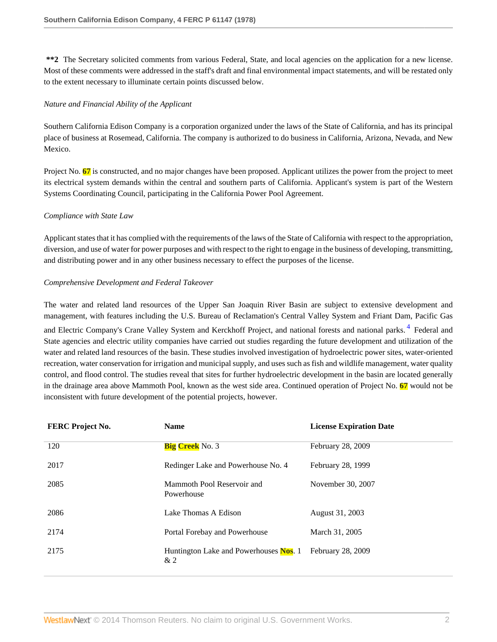**\*\*2** The Secretary solicited comments from various Federal, State, and local agencies on the application for a new license. Most of these comments were addressed in the staff's draft and final environmental impact statements, and will be restated only to the extent necessary to illuminate certain points discussed below.

# *Nature and Financial Ability of the Applicant*

Southern California Edison Company is a corporation organized under the laws of the State of California, and has its principal place of business at Rosemead, California. The company is authorized to do business in California, Arizona, Nevada, and New Mexico.

Project No. **67** is constructed, and no major changes have been proposed. Applicant utilizes the power from the project to meet its electrical system demands within the central and southern parts of California. Applicant's system is part of the Western Systems Coordinating Council, participating in the California Power Pool Agreement.

# *Compliance with State Law*

Applicant states that it has complied with the requirements of the laws of the State of California with respect to the appropriation, diversion, and use of water for power purposes and with respect to the right to engage in the business of developing, transmitting, and distributing power and in any other business necessary to effect the purposes of the license.

# *Comprehensive Development and Federal Takeover*

The water and related land resources of the Upper San Joaquin River Basin are subject to extensive development and management, with features including the U.S. Bureau of Reclamation's Central Valley System and Friant Dam, Pacific Gas

<span id="page-1-0"></span>and Electric Company's Crane Valley System and Kerckhoff Project, and national forests and national parks.<sup>[4](#page-17-3)</sup> Federal and State agencies and electric utility companies have carried out studies regarding the future development and utilization of the water and related land resources of the basin. These studies involved investigation of hydroelectric power sites, water-oriented recreation, water conservation for irrigation and municipal supply, and uses such as fish and wildlife management, water quality control, and flood control. The studies reveal that sites for further hydroelectric development in the basin are located generally in the drainage area above Mammoth Pool, known as the west side area. Continued operation of Project No. **67** would not be inconsistent with future development of the potential projects, however.

| <b>FERC Project No.</b> | <b>Name</b>                                  | <b>License Expiration Date</b> |
|-------------------------|----------------------------------------------|--------------------------------|
| 120                     | <b>Big Creek</b> No. 3                       | February 28, 2009              |
| 2017                    | Redinger Lake and Powerhouse No. 4           | February 28, 1999              |
| 2085                    | Mammoth Pool Reservoir and<br>Powerhouse     | November 30, 2007              |
| 2086                    | Lake Thomas A Edison                         | August 31, 2003                |
| 2174                    | Portal Forebay and Powerhouse                | March 31, 2005                 |
| 2175                    | Huntington Lake and Powerhouses Nos. 1<br>&2 | February 28, 2009              |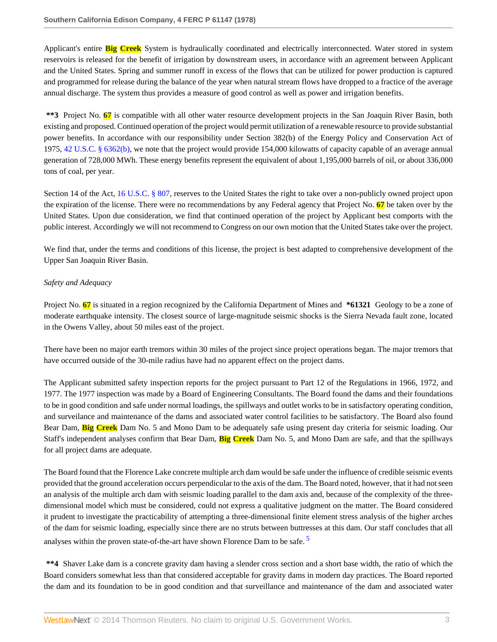Applicant's entire **Big Creek** System is hydraulically coordinated and electrically interconnected. Water stored in system reservoirs is released for the benefit of irrigation by downstream users, in accordance with an agreement between Applicant and the United States. Spring and summer runoff in excess of the flows that can be utilized for power production is captured and programmed for release during the balance of the year when natural stream flows have dropped to a fractice of the average annual discharge. The system thus provides a measure of good control as well as power and irrigation benefits.

**\*\*3** Project No. **67** is compatible with all other water resource development projects in the San Joaquin River Basin, both existing and proposed. Continued operation of the project would permit utilization of a renewable resource to provide substantial power benefits. In accordance with our responsibility under Section 382(b) of the Energy Policy and Conservation Act of 1975, [42 U.S.C. § 6362\(b\),](http://www.westlaw.com/Link/Document/FullText?findType=L&pubNum=1000546&cite=42USCAS6362&originatingDoc=I33cd8e31393911dbbb4d83d7c3c3a165&refType=LQ&originationContext=document&vr=3.0&rs=cblt1.0&transitionType=DocumentItem&contextData=(sc.Search)) we note that the project would provide 154,000 kilowatts of capacity capable of an average annual generation of 728,000 MWh. These energy benefits represent the equivalent of about 1,195,000 barrels of oil, or about 336,000 tons of coal, per year.

Section 14 of the Act, [16 U.S.C. § 807](http://www.westlaw.com/Link/Document/FullText?findType=L&pubNum=1000546&cite=16USCAS807&originatingDoc=I33cd8e31393911dbbb4d83d7c3c3a165&refType=LQ&originationContext=document&vr=3.0&rs=cblt1.0&transitionType=DocumentItem&contextData=(sc.Search)), reserves to the United States the right to take over a non-publicly owned project upon the expiration of the license. There were no recommendations by any Federal agency that Project No. **67** be taken over by the United States. Upon due consideration, we find that continued operation of the project by Applicant best comports with the public interest. Accordingly we will not recommend to Congress on our own motion that the United States take over the project.

We find that, under the terms and conditions of this license, the project is best adapted to comprehensive development of the Upper San Joaquin River Basin.

## *Safety and Adequacy*

Project No. **67** is situated in a region recognized by the California Department of Mines and **\*61321** Geology to be a zone of moderate earthquake intensity. The closest source of large-magnitude seismic shocks is the Sierra Nevada fault zone, located in the Owens Valley, about 50 miles east of the project.

There have been no major earth tremors within 30 miles of the project since project operations began. The major tremors that have occurred outside of the 30-mile radius have had no apparent effect on the project dams.

The Applicant submitted safety inspection reports for the project pursuant to Part 12 of the Regulations in 1966, 1972, and 1977. The 1977 inspection was made by a Board of Engineering Consultants. The Board found the dams and their foundations to be in good condition and safe under normal loadings, the spillways and outlet works to be in satisfactory operating condition, and surveilance and maintenance of the dams and associated water control facilities to be satisfactory. The Board also found Bear Dam, **Big Creek** Dam No. 5 and Mono Dam to be adequately safe using present day criteria for seismic loading. Our Staff's independent analyses confirm that Bear Dam, **Big Creek** Dam No. 5, and Mono Dam are safe, and that the spillways for all project dams are adequate.

The Board found that the Florence Lake concrete multiple arch dam would be safe under the influence of credible seismic events provided that the ground acceleration occurs perpendicular to the axis of the dam. The Board noted, however, that it had not seen an analysis of the multiple arch dam with seismic loading parallel to the dam axis and, because of the complexity of the threedimensional model which must be considered, could not express a qualitative judgment on the matter. The Board considered it prudent to investigate the practicability of attempting a three-dimensional finite element stress analysis of the higher arches of the dam for seismic loading, especially since there are no struts between buttresses at this dam. Our staff concludes that all analyses within the proven state-of-the-art have shown Florence Dam to be safe.<sup>[5](#page-17-4)</sup>

<span id="page-2-0"></span>**\*\*4** Shaver Lake dam is a concrete gravity dam having a slender cross section and a short base width, the ratio of which the Board considers somewhat less than that considered acceptable for gravity dams in modern day practices. The Board reported the dam and its foundation to be in good condition and that surveillance and maintenance of the dam and associated water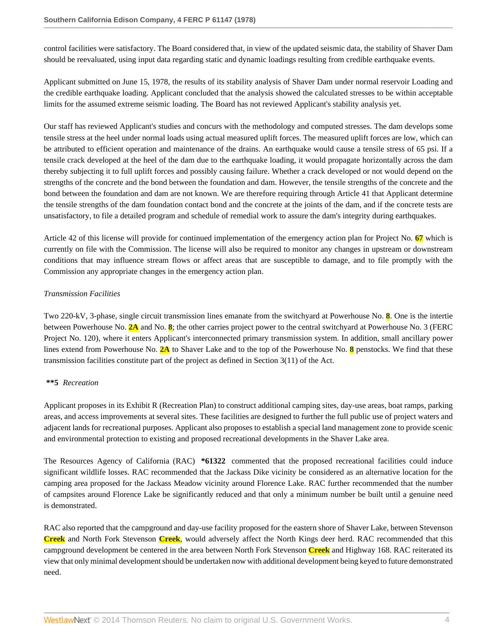control facilities were satisfactory. The Board considered that, in view of the updated seismic data, the stability of Shaver Dam should be reevaluated, using input data regarding static and dynamic loadings resulting from credible earthquake events.

Applicant submitted on June 15, 1978, the results of its stability analysis of Shaver Dam under normal reservoir Loading and the credible earthquake loading. Applicant concluded that the analysis showed the calculated stresses to be within acceptable limits for the assumed extreme seismic loading. The Board has not reviewed Applicant's stability analysis yet.

Our staff has reviewed Applicant's studies and concurs with the methodology and computed stresses. The dam develops some tensile stress at the heel under normal loads using actual measured uplift forces. The measured uplift forces are low, which can be attributed to efficient operation and maintenance of the drains. An earthquake would cause a tensile stress of 65 psi. If a tensile crack developed at the heel of the dam due to the earthquake loading, it would propagate horizontally across the dam thereby subjecting it to full uplift forces and possibly causing failure. Whether a crack developed or not would depend on the strengths of the concrete and the bond between the foundation and dam. However, the tensile strengths of the concrete and the bond between the foundation and dam are not known. We are therefore requiring through Article 41 that Applicant determine the tensile strengths of the dam foundation contact bond and the concrete at the joints of the dam, and if the concrete tests are unsatisfactory, to file a detailed program and schedule of remedial work to assure the dam's integrity during earthquakes.

Article 42 of this license will provide for continued implementation of the emergency action plan for Project No. **67** which is currently on file with the Commission. The license will also be required to monitor any changes in upstream or downstream conditions that may influence stream flows or affect areas that are susceptible to damage, and to file promptly with the Commission any appropriate changes in the emergency action plan.

## *Transmission Facilities*

Two 220-kV, 3-phase, single circuit transmission lines emanate from the switchyard at Powerhouse No. **8**. One is the intertie between Powerhouse No. **2A** and No. **8**; the other carries project power to the central switchyard at Powerhouse No. 3 (FERC Project No. 120), where it enters Applicant's interconnected primary transmission system. In addition, small ancillary power lines extend from Powerhouse No. **2A** to Shaver Lake and to the top of the Powerhouse No. **8** penstocks. We find that these transmission facilities constitute part of the project as defined in Section 3(11) of the Act.

#### **\*\*5** *Recreation*

Applicant proposes in its Exhibit R (Recreation Plan) to construct additional camping sites, day-use areas, boat ramps, parking areas, and access improvements at several sites. These facilities are designed to further the full public use of project waters and adjacent lands for recreational purposes. Applicant also proposes to establish a special land management zone to provide scenic and environmental protection to existing and proposed recreational developments in the Shaver Lake area.

The Resources Agency of California (RAC) **\*61322** commented that the proposed recreational facilities could induce significant wildlife losses. RAC recommended that the Jackass Dike vicinity be considered as an alternative location for the camping area proposed for the Jackass Meadow vicinity around Florence Lake. RAC further recommended that the number of campsites around Florence Lake be significantly reduced and that only a minimum number be built until a genuine need is demonstrated.

RAC also reported that the campground and day-use facility proposed for the eastern shore of Shaver Lake, between Stevenson **Creek** and North Fork Stevenson **Creek**, would adversely affect the North Kings deer herd. RAC recommended that this campground development be centered in the area between North Fork Stevenson **Creek** and Highway 168. RAC reiterated its view that only minimal development should be undertaken now with additional development being keyed to future demonstrated need.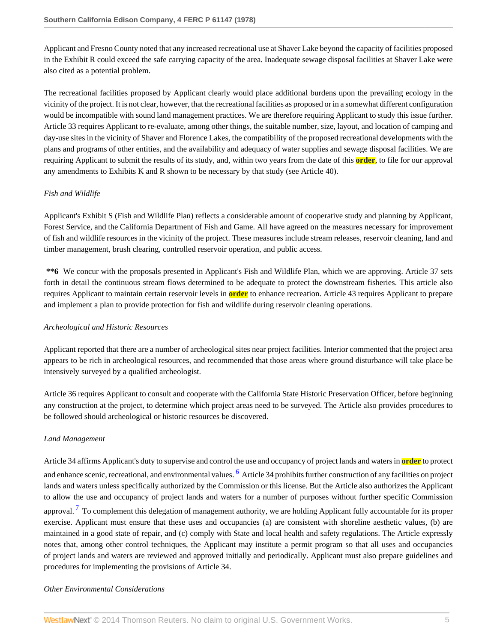Applicant and Fresno County noted that any increased recreational use at Shaver Lake beyond the capacity of facilities proposed in the Exhibit R could exceed the safe carrying capacity of the area. Inadequate sewage disposal facilities at Shaver Lake were also cited as a potential problem.

The recreational facilities proposed by Applicant clearly would place additional burdens upon the prevailing ecology in the vicinity of the project. It is not clear, however, that the recreational facilities as proposed or in a somewhat different configuration would be incompatible with sound land management practices. We are therefore requiring Applicant to study this issue further. Article 33 requires Applicant to re-evaluate, among other things, the suitable number, size, layout, and location of camping and day-use sites in the vicinity of Shaver and Florence Lakes, the compatibility of the proposed recreational developments with the plans and programs of other entities, and the availability and adequacy of water supplies and sewage disposal facilities. We are requiring Applicant to submit the results of its study, and, within two years from the date of this **order**, to file for our approval any amendments to Exhibits K and R shown to be necessary by that study (see Article 40).

# *Fish and Wildlife*

Applicant's Exhibit S (Fish and Wildlife Plan) reflects a considerable amount of cooperative study and planning by Applicant, Forest Service, and the California Department of Fish and Game. All have agreed on the measures necessary for improvement of fish and wildlife resources in the vicinity of the project. These measures include stream releases, reservoir cleaning, land and timber management, brush clearing, controlled reservoir operation, and public access.

**\*\*6** We concur with the proposals presented in Applicant's Fish and Wildlife Plan, which we are approving. Article 37 sets forth in detail the continuous stream flows determined to be adequate to protect the downstream fisheries. This article also requires Applicant to maintain certain reservoir levels in **order** to enhance recreation. Article 43 requires Applicant to prepare and implement a plan to provide protection for fish and wildlife during reservoir cleaning operations.

#### *Archeological and Historic Resources*

Applicant reported that there are a number of archeological sites near project facilities. Interior commented that the project area appears to be rich in archeological resources, and recommended that those areas where ground disturbance will take place be intensively surveyed by a qualified archeologist.

Article 36 requires Applicant to consult and cooperate with the California State Historic Preservation Officer, before beginning any construction at the project, to determine which project areas need to be surveyed. The Article also provides procedures to be followed should archeological or historic resources be discovered.

# *Land Management*

<span id="page-4-1"></span><span id="page-4-0"></span>Article 34 affirms Applicant's duty to supervise and control the use and occupancy of project lands and waters in **order** to protect and enhance scenic, recreational, and environmental values. <sup>[6](#page-17-5)</sup> Article 34 prohibits further construction of any facilities on project lands and waters unless specifically authorized by the Commission or this license. But the Article also authorizes the Applicant to allow the use and occupancy of project lands and waters for a number of purposes without further specific Commission approval. <sup>[7](#page-17-6)</sup> To complement this delegation of management authority, we are holding Applicant fully accountable for its proper exercise. Applicant must ensure that these uses and occupancies (a) are consistent with shoreline aesthetic values, (b) are maintained in a good state of repair, and (c) comply with State and local health and safety regulations. The Article expressly notes that, among other control techniques, the Applicant may institute a permit program so that all uses and occupancies of project lands and waters are reviewed and approved initially and periodically. Applicant must also prepare guidelines and procedures for implementing the provisions of Article 34.

## *Other Environmental Considerations*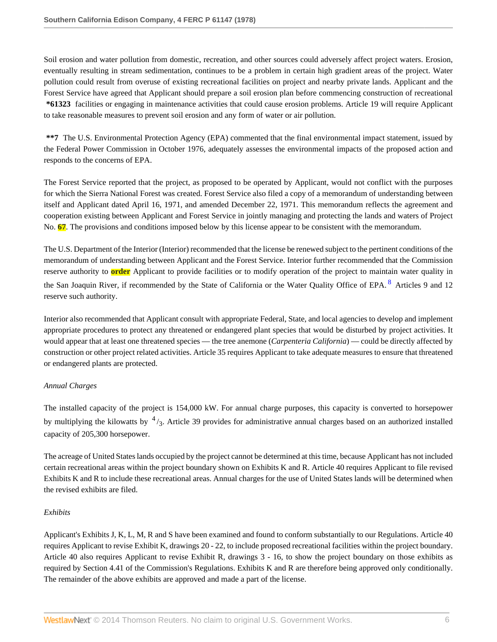Soil erosion and water pollution from domestic, recreation, and other sources could adversely affect project waters. Erosion, eventually resulting in stream sedimentation, continues to be a problem in certain high gradient areas of the project. Water pollution could result from overuse of existing recreational facilities on project and nearby private lands. Applicant and the Forest Service have agreed that Applicant should prepare a soil erosion plan before commencing construction of recreational **\*61323** facilities or engaging in maintenance activities that could cause erosion problems. Article 19 will require Applicant to take reasonable measures to prevent soil erosion and any form of water or air pollution.

**\*\*7** The U.S. Environmental Protection Agency (EPA) commented that the final environmental impact statement, issued by the Federal Power Commission in October 1976, adequately assesses the environmental impacts of the proposed action and responds to the concerns of EPA.

The Forest Service reported that the project, as proposed to be operated by Applicant, would not conflict with the purposes for which the Sierra National Forest was created. Forest Service also filed a copy of a memorandum of understanding between itself and Applicant dated April 16, 1971, and amended December 22, 1971. This memorandum reflects the agreement and cooperation existing between Applicant and Forest Service in jointly managing and protecting the lands and waters of Project No. **67**. The provisions and conditions imposed below by this license appear to be consistent with the memorandum.

<span id="page-5-0"></span>The U.S. Department of the Interior (Interior) recommended that the license be renewed subject to the pertinent conditions of the memorandum of understanding between Applicant and the Forest Service. Interior further recommended that the Commission reserve authority to **order** Applicant to provide facilities or to modify operation of the project to maintain water quality in the San Joaquin River, if recommended by the State of California or the Water Quality Office of EPA. <sup>[8](#page-17-7)</sup> Articles 9 and 12 reserve such authority.

Interior also recommended that Applicant consult with appropriate Federal, State, and local agencies to develop and implement appropriate procedures to protect any threatened or endangered plant species that would be disturbed by project activities. It would appear that at least one threatened species — the tree anemone (*Carpenteria California*) — could be directly affected by construction or other project related activities. Article 35 requires Applicant to take adequate measures to ensure that threatened or endangered plants are protected.

# *Annual Charges*

The installed capacity of the project is 154,000 kW. For annual charge purposes, this capacity is converted to horsepower by multiplying the kilowatts by  $\frac{4}{3}$ . Article 39 provides for administrative annual charges based on an authorized installed capacity of 205,300 horsepower.

The acreage of United States lands occupied by the project cannot be determined at this time, because Applicant has not included certain recreational areas within the project boundary shown on Exhibits K and R. Article 40 requires Applicant to file revised Exhibits K and R to include these recreational areas. Annual charges for the use of United States lands will be determined when the revised exhibits are filed.

# *Exhibits*

Applicant's Exhibits J, K, L, M, R and S have been examined and found to conform substantially to our Regulations. Article 40 requires Applicant to revise Exhibit K, drawings 20 - 22, to include proposed recreational facilities within the project boundary. Article 40 also requires Applicant to revise Exhibit R, drawings 3 - 16, to show the project boundary on those exhibits as required by Section 4.41 of the Commission's Regulations. Exhibits K and R are therefore being approved only conditionally. The remainder of the above exhibits are approved and made a part of the license.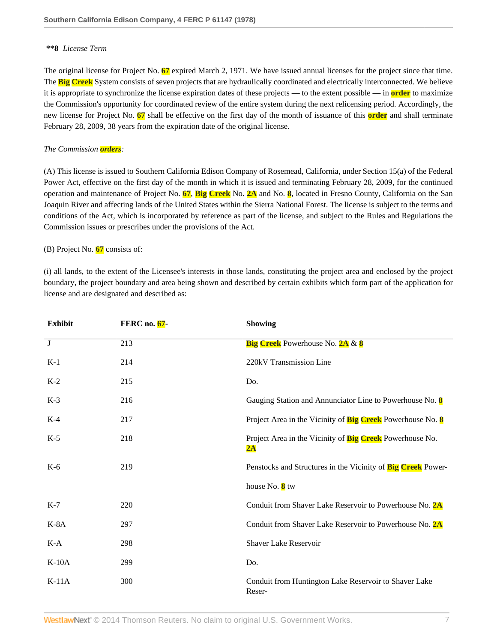## **\*\*8** *License Term*

The original license for Project No. **67** expired March 2, 1971. We have issued annual licenses for the project since that time. The **Big Creek** System consists of seven projects that are hydraulically coordinated and electrically interconnected. We believe it is appropriate to synchronize the license expiration dates of these projects — to the extent possible — in **order** to maximize the Commission's opportunity for coordinated review of the entire system during the next relicensing period. Accordingly, the new license for Project No. **67** shall be effective on the first day of the month of issuance of this **order** and shall terminate February 28, 2009, 38 years from the expiration date of the original license.

#### *The Commission orders:*

(A) This license is issued to Southern California Edison Company of Rosemead, California, under Section 15(a) of the Federal Power Act, effective on the first day of the month in which it is issued and terminating February 28, 2009, for the continued operation and maintenance of Project No. **67**, **Big Creek** No. **2A** and No. **8**, located in Fresno County, California on the San Joaquin River and affecting lands of the United States within the Sierra National Forest. The license is subject to the terms and conditions of the Act, which is incorporated by reference as part of the license, and subject to the Rules and Regulations the Commission issues or prescribes under the provisions of the Act.

#### (B) Project No. **67** consists of:

(i) all lands, to the extent of the Licensee's interests in those lands, constituting the project area and enclosed by the project boundary, the project boundary and area being shown and described by certain exhibits which form part of the application for license and are designated and described as:

| <b>Exhibit</b>          | <b>FERC</b> no. 67- | <b>Showing</b>                                                            |
|-------------------------|---------------------|---------------------------------------------------------------------------|
| $\overline{\mathbf{J}}$ | 213                 | <b>Big Creek</b> Powerhouse No. 2A & 8                                    |
| $K-1$                   | 214                 | 220kV Transmission Line                                                   |
| $K-2$                   | 215                 | Do.                                                                       |
| $K-3$                   | 216                 | Gauging Station and Annunciator Line to Powerhouse No. 8                  |
| $K-4$                   | 217                 | Project Area in the Vicinity of <b>Big Creek</b> Powerhouse No. 8         |
| $K-5$                   | 218                 | Project Area in the Vicinity of Big Creek Powerhouse No.<br>$2\mathbf{A}$ |
| $K-6$                   | 219                 | Penstocks and Structures in the Vicinity of Big Creek Power-              |
|                         |                     | house No. $8$ tw                                                          |
| $K-7$                   | 220                 | Conduit from Shaver Lake Reservoir to Powerhouse No. 2A                   |
| $K-8A$                  | 297                 | Conduit from Shaver Lake Reservoir to Powerhouse No. 2A                   |
| $K-A$                   | 298                 | <b>Shaver Lake Reservoir</b>                                              |
| $K-10A$                 | 299                 | Do.                                                                       |
| $K-11A$                 | 300                 | Conduit from Huntington Lake Reservoir to Shaver Lake<br>Reser-           |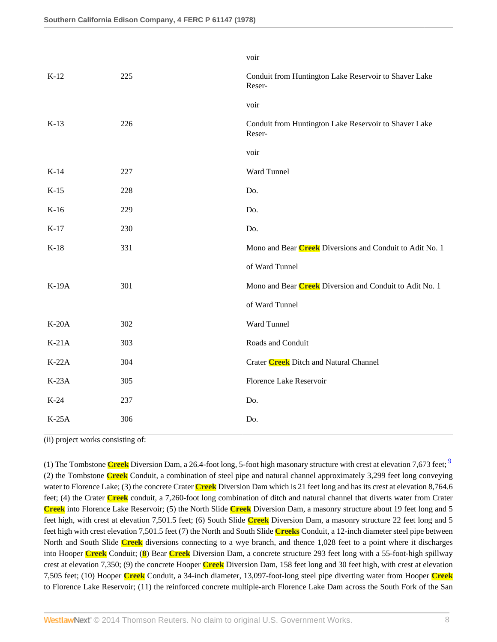|         |     | voir                                                            |
|---------|-----|-----------------------------------------------------------------|
| $K-12$  | 225 | Conduit from Huntington Lake Reservoir to Shaver Lake<br>Reser- |
|         |     | voir                                                            |
| $K-13$  | 226 | Conduit from Huntington Lake Reservoir to Shaver Lake<br>Reser- |
|         |     | voir                                                            |
| $K-14$  | 227 | Ward Tunnel                                                     |
| $K-15$  | 228 | Do.                                                             |
| $K-16$  | 229 | Do.                                                             |
| $K-17$  | 230 | Do.                                                             |
| $K-18$  | 331 | Mono and Bear Creek Diversions and Conduit to Adit No. 1        |
|         |     | of Ward Tunnel                                                  |
| K-19A   | 301 | Mono and Bear Creek Diversion and Conduit to Adit No. 1         |
|         |     | of Ward Tunnel                                                  |
| $K-20A$ | 302 | Ward Tunnel                                                     |
| $K-21A$ | 303 | Roads and Conduit                                               |
| $K-22A$ | 304 | Crater <b>Creek</b> Ditch and Natural Channel                   |
| $K-23A$ | 305 | Florence Lake Reservoir                                         |
| $K-24$  | 237 | Do.                                                             |
| $K-25A$ | 306 | Do.                                                             |
|         |     |                                                                 |

(ii) project works consisting of:

<span id="page-7-0"></span>(1) The Tombstone **Creek** Diversion Dam, a 26.4-foot long, 5-foot high masonary structure with crest at elevation 7,673 feet; [9](#page-17-8) (2) the Tombstone **Creek** Conduit, a combination of steel pipe and natural channel approximately 3,299 feet long conveying water to Florence Lake; (3) the concrete Crater **Creek** Diversion Dam which is 21 feet long and has its crest at elevation 8,764.6 feet; (4) the Crater **Creek** conduit, a 7,260-foot long combination of ditch and natural channel that diverts water from Crater **Creek** into Florence Lake Reservoir; (5) the North Slide **Creek** Diversion Dam, a masonry structure about 19 feet long and 5 feet high, with crest at elevation 7,501.5 feet; (6) South Slide **Creek** Diversion Dam, a masonry structure 22 feet long and 5 feet high with crest elevation 7,501.5 feet (7) the North and South Slide **Creeks** Conduit, a 12-inch diameter steel pipe between North and South Slide **Creek** diversions connecting to a wye branch, and thence 1,028 feet to a point where it discharges into Hooper **Creek** Conduit; (**8**) Bear **Creek** Diversion Dam, a concrete structure 293 feet long with a 55-foot-high spillway crest at elevation 7,350; (9) the concrete Hooper **Creek** Diversion Dam, 158 feet long and 30 feet high, with crest at elevation 7,505 feet; (10) Hooper **Creek** Conduit, a 34-inch diameter, 13,097-foot-long steel pipe diverting water from Hooper **Creek** to Florence Lake Reservoir; (11) the reinforced concrete multiple-arch Florence Lake Dam across the South Fork of the San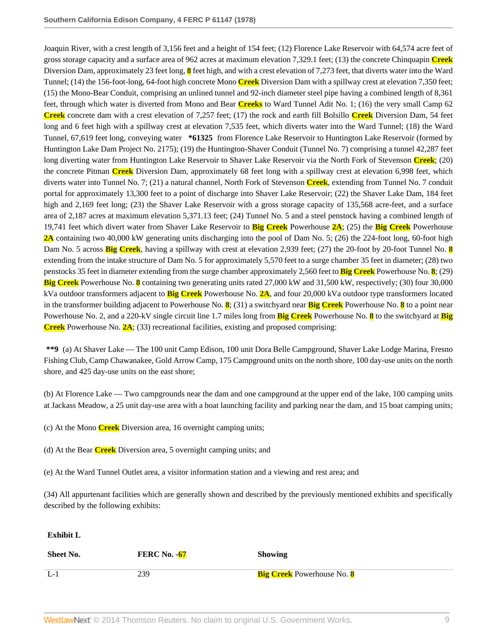Joaquin River, with a crest length of 3,156 feet and a height of 154 feet; (12) Florence Lake Reservoir with 64,574 acre feet of gross storage capacity and a surface area of 962 acres at maximum elevation 7,329.1 feet; (13) the concrete Chinquapin **Creek** Diversion Dam, approximately 23 feet long, **8** feet high, and with a crest elevation of 7,273 feet, that diverts water into the Ward Tunnel; (14) the 156-foot-long, 64-foot high concrete Mono **Creek** Diversion Dam with a spillway crest at elevation 7,350 feet; (15) the Mono-Bear Conduit, comprising an unlined tunnel and 92-inch diameter steel pipe having a combined length of 8,361 feet, through which water is diverted from Mono and Bear **Creeks** to Ward Tunnel Adit No. 1; (16) the very small Camp 62 **Creek** concrete dam with a crest elevation of 7,257 feet; (17) the rock and earth fill Bolsillo **Creek** Diversion Dam, 54 feet long and 6 feet high with a spillway crest at elevation 7,535 feet, which diverts water into the Ward Tunnel; (18) the Ward Tunnel, 67,619 feet long, conveying water **\*61325** from Florence Lake Reservoir to Huntington Lake Reservoir (formed by Huntington Lake Dam Project No. 2175); (19) the Huntington-Shaver Conduit (Tunnel No. 7) comprising a tunnel 42,287 feet long diverting water from Huntington Lake Reservoir to Shaver Lake Reservoir via the North Fork of Stevenson **Creek**; (20) the concrete Pitman **Creek** Diversion Dam, approximately 68 feet long with a spillway crest at elevation 6,998 feet, which diverts water into Tunnel No. 7; (21) a natural channel, North Fork of Stevenson **Creek**, extending from Tunnel No. 7 conduit portal for approximately 13,300 feet to a point of discharge into Shaver Lake Reservoir; (22) the Shaver Lake Dam, 184 feet high and 2,169 feet long; (23) the Shaver Lake Reservoir with a gross storage capacity of 135,568 acre-feet, and a surface area of 2,187 acres at maximum elevation 5,371.13 feet; (24) Tunnel No. 5 and a steel penstock having a combined length of 19,741 feet which divert water from Shaver Lake Reservoir to **Big Creek** Powerhouse **2A**; (25) the **Big Creek** Powerhouse **2A** containing two 40,000 kW generating units discharging into the pool of Dam No. 5; (26) the 224-foot long, 60-foot high Dam No. 5 across **Big Creek**, having a spillway with crest at elevation 2,939 feet; (27) the 20-foot by 20-foot Tunnel No. **8** extending from the intake structure of Dam No. 5 for approximately 5,570 feet to a surge chamber 35 feet in diameter; (28) two penstocks 35 feet in diameter extending from the surge chamber approximately 2,560 feet to **Big Creek** Powerhouse No. **8**; (29) **Big Creek** Powerhouse No. **8** containing two generating units rated 27,000 kW and 31,500 kW, respectively; (30) four 30,000 kVa outdoor transformers adjacent to **Big Creek** Powerhouse No. **2A**, and four 20,000 kVa outdoor type transformers located in the transformer building adjacent to Powerhouse No. **8**; (31) a switchyard near **Big Creek** Powerhouse No. **8** to a point near Powerhouse No. 2, and a 220-kV single circuit line 1.7 miles long from **Big Creek** Powerhouse No. **8** to the switchyard at **Big Creek** Powerhouse No. **2A**; (33) recreational facilities, existing and proposed comprising:

**\*\*9** (a) At Shaver Lake — The 100 unit Camp Edison, 100 unit Dora Belle Campground, Shaver Lake Lodge Marina, Fresno Fishing Club, Camp Chawanakee, Gold Arrow Camp, 175 Campground units on the north shore, 100 day-use units on the north shore, and 425 day-use units on the east shore;

(b) At Florence Lake — Two campgrounds near the dam and one campground at the upper end of the lake, 100 camping units at Jackass Meadow, a 25 unit day-use area with a boat launching facility and parking near the dam, and 15 boat camping units;

- (c) At the Mono **Creek** Diversion area, 16 overnight camping units;
- (d) At the Bear **Creek** Diversion area, 5 overnight camping units; and
- (e) At the Ward Tunnel Outlet area, a visitor information station and a viewing and rest area; and

(34) All appurtenant facilities which are generally shown and described by the previously mentioned exhibits and specifically described by the following exhibits:

**Exhibit L**

| Sheet No. | <b>FERC No. -67</b> | <b>Showing</b>                    |
|-----------|---------------------|-----------------------------------|
| $L-1$     | 239                 | <b>Big Creek</b> Powerhouse No. 8 |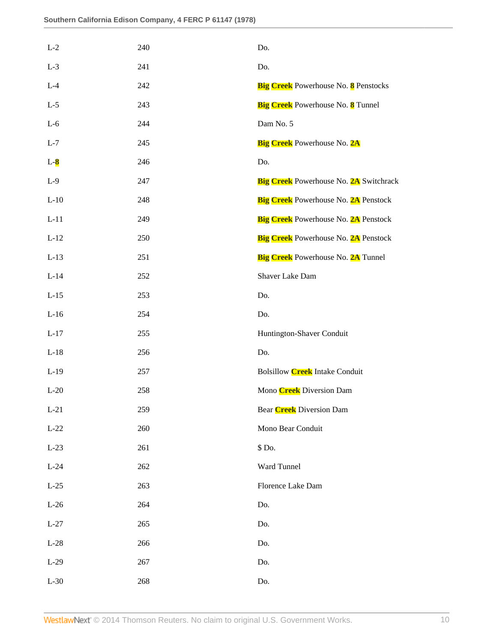| $L-2$  | 240 | Do.                                           |
|--------|-----|-----------------------------------------------|
| $L-3$  | 241 | Do.                                           |
| $L-4$  | 242 | <b>Big Creek</b> Powerhouse No. 8 Penstocks   |
| $L-5$  | 243 | <b>Big Creek</b> Powerhouse No. 8 Tunnel      |
| $L-6$  | 244 | Dam No. 5                                     |
| $L-7$  | 245 | <b>Big Creek</b> Powerhouse No. 2A            |
| $L-8$  | 246 | Do.                                           |
| $L-9$  | 247 | <b>Big Creek</b> Powerhouse No. 2A Switchrack |
| $L-10$ | 248 | <b>Big Creek</b> Powerhouse No. 2A Penstock   |
| $L-11$ | 249 | <b>Big Creek</b> Powerhouse No. 2A Penstock   |
| $L-12$ | 250 | <b>Big Creek</b> Powerhouse No. 2A Penstock   |
| $L-13$ | 251 | <b>Big Creek</b> Powerhouse No. 2A Tunnel     |
| $L-14$ | 252 | Shaver Lake Dam                               |
| $L-15$ | 253 | Do.                                           |
| $L-16$ | 254 | Do.                                           |
| $L-17$ | 255 | Huntington-Shaver Conduit                     |
| $L-18$ | 256 | Do.                                           |
| $L-19$ | 257 | <b>Bolsillow Creek Intake Conduit</b>         |
| $L-20$ | 258 | Mono <b>Creek</b> Diversion Dam               |
| $L-21$ | 259 | Bear <b>Creek</b> Diversion Dam               |
| $L-22$ | 260 | Mono Bear Conduit                             |
| $L-23$ | 261 | \$ Do.                                        |
| $L-24$ | 262 | Ward Tunnel                                   |
| $L-25$ | 263 | Florence Lake Dam                             |
| $L-26$ | 264 | Do.                                           |
| $L-27$ | 265 | Do.                                           |
| $L-28$ | 266 | Do.                                           |
| $L-29$ | 267 | Do.                                           |
| $L-30$ | 268 | Do.                                           |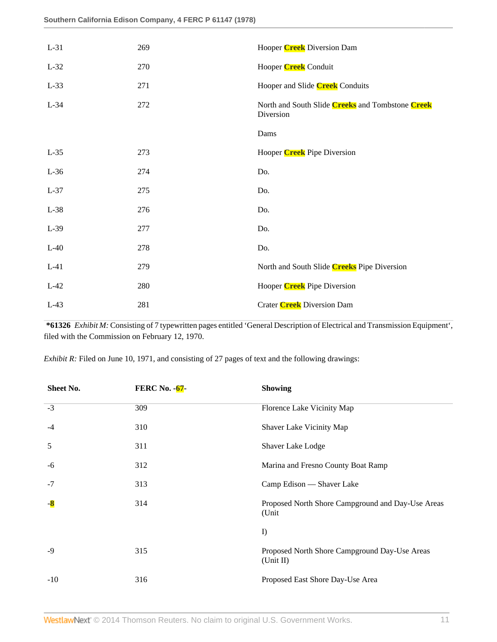| $L-31$ | 269 | Hooper <b>Creek</b> Diversion Dam                             |
|--------|-----|---------------------------------------------------------------|
| $L-32$ | 270 | Hooper <b>Creek</b> Conduit                                   |
| $L-33$ | 271 | Hooper and Slide <b>Creek</b> Conduits                        |
| $L-34$ | 272 | North and South Slide Creeks and Tombstone Creek<br>Diversion |
|        |     | Dams                                                          |
| $L-35$ | 273 | Hooper <b>Creek</b> Pipe Diversion                            |
| $L-36$ | 274 | Do.                                                           |
| $L-37$ | 275 | Do.                                                           |
| $L-38$ | 276 | Do.                                                           |
| $L-39$ | 277 | Do.                                                           |
| $L-40$ | 278 | Do.                                                           |
| $L-41$ | 279 | North and South Slide Creeks Pipe Diversion                   |
| $L-42$ | 280 | Hooper <b>Creek</b> Pipe Diversion                            |
| $L-43$ | 281 | Crater <b>Creek</b> Diversion Dam                             |

**\*61326** *Exhibit M:* Consisting of 7 typewritten pages entitled 'General Description of Electrical and Transmission Equipment', filed with the Commission on February 12, 1970.

*Exhibit R:* Filed on June 10, 1971, and consisting of 27 pages of text and the following drawings:

| Sheet No. | <b>FERC No. - 67-</b> | <b>Showing</b>                                             |
|-----------|-----------------------|------------------------------------------------------------|
| $-3$      | 309                   | Florence Lake Vicinity Map                                 |
| $-4$      | 310                   | Shaver Lake Vicinity Map                                   |
| 5         | 311                   | Shaver Lake Lodge                                          |
| -6        | 312                   | Marina and Fresno County Boat Ramp                         |
| $-7$      | 313                   | Camp Edison - Shaver Lake                                  |
| $-8$      | 314                   | Proposed North Shore Campground and Day-Use Areas<br>(Unit |
|           |                       | $\mathbf{D}$                                               |
| $-9$      | 315                   | Proposed North Shore Campground Day-Use Areas<br>(Unit II) |
| $-10$     | 316                   | Proposed East Shore Day-Use Area                           |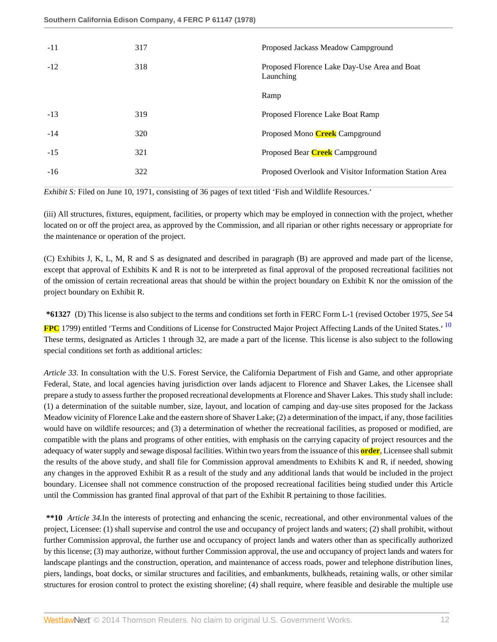**Southern California Edison Company, 4 FERC P 61147 (1978)**

| $-11$ | 317 | Proposed Jackass Meadow Campground                        |
|-------|-----|-----------------------------------------------------------|
| $-12$ | 318 | Proposed Florence Lake Day-Use Area and Boat<br>Launching |
|       |     | Ramp                                                      |
| $-13$ | 319 | Proposed Florence Lake Boat Ramp                          |
| $-14$ | 320 | Proposed Mono <b>Creek</b> Campground                     |
| $-15$ | 321 | Proposed Bear <b>Creek</b> Campground                     |
| $-16$ | 322 | Proposed Overlook and Visitor Information Station Area    |
|       |     |                                                           |

*Exhibit S:* Filed on June 10, 1971, consisting of 36 pages of text titled 'Fish and Wildlife Resources.'

(iii) All structures, fixtures, equipment, facilities, or property which may be employed in connection with the project, whether located on or off the project area, as approved by the Commission, and all riparian or other rights necessary or appropriate for the maintenance or operation of the project.

(C) Exhibits J, K, L, M, R and S as designated and described in paragraph (B) are approved and made part of the license, except that approval of Exhibits K and R is not to be interpreted as final approval of the proposed recreational facilities not of the omission of certain recreational areas that should be within the project boundary on Exhibit K nor the omission of the project boundary on Exhibit R.

<span id="page-11-0"></span>**\*61327** (D) This license is also subject to the terms and conditions set forth in FERC Form L-1 (revised October 1975, *See* 54 **FPC** 1799) entitled 'Terms and Conditions of License for Constructed Major Project Affecting Lands of the United States.' [10](#page-17-9) These terms, designated as Articles 1 through 32, are made a part of the license. This license is also subject to the following special conditions set forth as additional articles:

*Article 33.* In consultation with the U.S. Forest Service, the California Department of Fish and Game, and other appropriate Federal, State, and local agencies having jurisdiction over lands adjacent to Florence and Shaver Lakes, the Licensee shall prepare a study to assess further the proposed recreational developments at Florence and Shaver Lakes. This study shall include: (1) a determination of the suitable number, size, layout, and location of camping and day-use sites proposed for the Jackass Meadow vicinity of Florence Lake and the eastern shore of Shaver Lake; (2) a determination of the impact, if any, those facilities would have on wildlife resources; and (3) a determination of whether the recreational facilities, as proposed or modified, are compatible with the plans and programs of other entities, with emphasis on the carrying capacity of project resources and the adequacy of water supply and sewage disposal facilities. Within two years from the issuance of this **order**, Licensee shall submit the results of the above study, and shall file for Commission approval amendments to Exhibits K and R, if needed, showing any changes in the approved Exhibit R as a result of the study and any additional lands that would be included in the project boundary. Licensee shall not commence construction of the proposed recreational facilities being studied under this Article until the Commission has granted final approval of that part of the Exhibit R pertaining to those facilities.

**\*\*10** *Article 34.*In the interests of protecting and enhancing the scenic, recreational, and other environmental values of the project, Licensee: (1) shall supervise and control the use and occupancy of project lands and waters; (2) shall prohibit, without further Commission approval, the further use and occupancy of project lands and waters other than as specifically authorized by this license; (3) may authorize, without further Commission approval, the use and occupancy of project lands and waters for landscape plantings and the construction, operation, and maintenance of access roads, power and telephone distribution lines, piers, landings, boat docks, or similar structures and facilities, and embankments, bulkheads, retaining walls, or other similar structures for erosion control to protect the existing shoreline; (4) shall require, where feasible and desirable the multiple use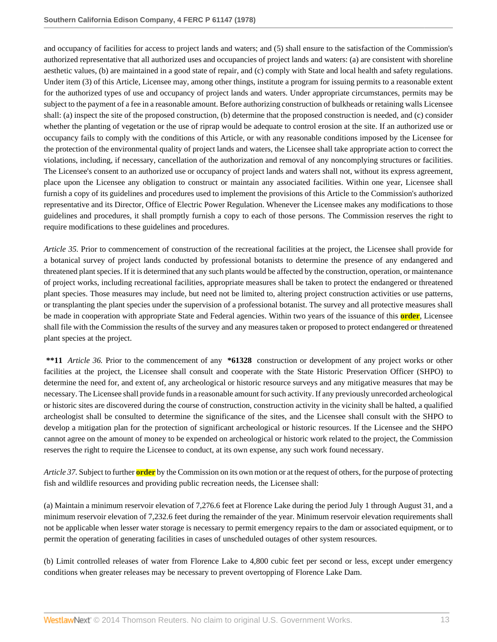and occupancy of facilities for access to project lands and waters; and (5) shall ensure to the satisfaction of the Commission's authorized representative that all authorized uses and occupancies of project lands and waters: (a) are consistent with shoreline aesthetic values, (b) are maintained in a good state of repair, and (c) comply with State and local health and safety regulations. Under item (3) of this Article, Licensee may, among other things, institute a program for issuing permits to a reasonable extent for the authorized types of use and occupancy of project lands and waters. Under appropriate circumstances, permits may be subject to the payment of a fee in a reasonable amount. Before authorizing construction of bulkheads or retaining walls Licensee shall: (a) inspect the site of the proposed construction, (b) determine that the proposed construction is needed, and (c) consider whether the planting of vegetation or the use of riprap would be adequate to control erosion at the site. If an authorized use or occupancy fails to comply with the conditions of this Article, or with any reasonable conditions imposed by the Licensee for the protection of the environmental quality of project lands and waters, the Licensee shall take appropriate action to correct the violations, including, if necessary, cancellation of the authorization and removal of any noncomplying structures or facilities. The Licensee's consent to an authorized use or occupancy of project lands and waters shall not, without its express agreement, place upon the Licensee any obligation to construct or maintain any associated facilities. Within one year, Licensee shall furnish a copy of its guidelines and procedures used to implement the provisions of this Article to the Commission's authorized representative and its Director, Office of Electric Power Regulation. Whenever the Licensee makes any modifications to those guidelines and procedures, it shall promptly furnish a copy to each of those persons. The Commission reserves the right to require modifications to these guidelines and procedures.

*Article 35.* Prior to commencement of construction of the recreational facilities at the project, the Licensee shall provide for a botanical survey of project lands conducted by professional botanists to determine the presence of any endangered and threatened plant species. If it is determined that any such plants would be affected by the construction, operation, or maintenance of project works, including recreational facilities, appropriate measures shall be taken to protect the endangered or threatened plant species. Those measures may include, but need not be limited to, altering project construction activities or use patterns, or transplanting the plant species under the supervision of a professional botanist. The survey and all protective measures shall be made in cooperation with appropriate State and Federal agencies. Within two years of the issuance of this **order**, Licensee shall file with the Commission the results of the survey and any measures taken or proposed to protect endangered or threatened plant species at the project.

**\*\*11** *Article 36.* Prior to the commencement of any **\*61328** construction or development of any project works or other facilities at the project, the Licensee shall consult and cooperate with the State Historic Preservation Officer (SHPO) to determine the need for, and extent of, any archeological or historic resource surveys and any mitigative measures that may be necessary. The Licensee shall provide funds in a reasonable amount for such activity. If any previously unrecorded archeological or historic sites are discovered during the course of construction, construction activity in the vicinity shall be halted, a qualified archeologist shall be consulted to determine the significance of the sites, and the Licensee shall consult with the SHPO to develop a mitigation plan for the protection of significant archeological or historic resources. If the Licensee and the SHPO cannot agree on the amount of money to be expended on archeological or historic work related to the project, the Commission reserves the right to require the Licensee to conduct, at its own expense, any such work found necessary.

*Article 37.* Subject to further **order** by the Commission on its own motion or at the request of others, for the purpose of protecting fish and wildlife resources and providing public recreation needs, the Licensee shall:

(a) Maintain a minimum reservoir elevation of 7,276.6 feet at Florence Lake during the period July 1 through August 31, and a minimum reservoir elevation of 7,232.6 feet during the remainder of the year. Minimum reservoir elevation requirements shall not be applicable when lesser water storage is necessary to permit emergency repairs to the dam or associated equipment, or to permit the operation of generating facilities in cases of unscheduled outages of other system resources.

(b) Limit controlled releases of water from Florence Lake to 4,800 cubic feet per second or less, except under emergency conditions when greater releases may be necessary to prevent overtopping of Florence Lake Dam.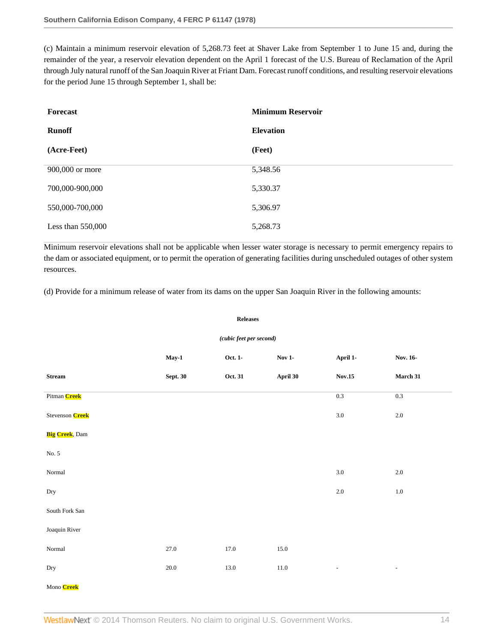(c) Maintain a minimum reservoir elevation of 5,268.73 feet at Shaver Lake from September 1 to June 15 and, during the remainder of the year, a reservoir elevation dependent on the April 1 forecast of the U.S. Bureau of Reclamation of the April through July natural runoff of the San Joaquin River at Friant Dam. Forecast runoff conditions, and resulting reservoir elevations for the period June 15 through September 1, shall be:

| Forecast            | <b>Minimum Reservoir</b> |
|---------------------|--------------------------|
| <b>Runoff</b>       | <b>Elevation</b>         |
| (Acre-Feet)         | (Feet)                   |
| 900,000 or more     | 5,348.56                 |
| 700,000-900,000     | 5,330.37                 |
| 550,000-700,000     | 5,306.97                 |
| Less than $550,000$ | 5,268.73                 |

Minimum reservoir elevations shall not be applicable when lesser water storage is necessary to permit emergency repairs to the dam or associated equipment, or to permit the operation of generating facilities during unscheduled outages of other system resources.

(d) Provide for a minimum release of water from its dams on the upper San Joaquin River in the following amounts:

#### **Releases**

### *(cubic feet per second)*

|                                 | $May-1$         | Oct. 1-  | <b>Nov 1-</b> | April 1-                 | Nov. 16-                 |
|---------------------------------|-----------------|----------|---------------|--------------------------|--------------------------|
| $\operatorname{\bf Stream}$     | <b>Sept. 30</b> | Oct. 31  | April 30      | $\textbf{Nov.15}$        | March 31                 |
| Pitman Creek                    |                 |          |               | $0.3\,$                  | $0.3\,$                  |
| Stevenson <b>Creek</b>          |                 |          |               | $3.0\,$                  | $2.0\,$                  |
| <b>Big Creek</b> , Dam          |                 |          |               |                          |                          |
| No. 5                           |                 |          |               |                          |                          |
| $\mbox{Normal}$                 |                 |          |               | $3.0\,$                  | $2.0\,$                  |
| Dry                             |                 |          |               | $2.0\,$                  | $1.0\,$                  |
| South Fork $\operatorname{San}$ |                 |          |               |                          |                          |
| Joaquin River                   |                 |          |               |                          |                          |
| $\mbox{Normal}$                 | 27.0            | $17.0\,$ | 15.0          |                          |                          |
| Dry                             | $20.0\,$        | 13.0     | $11.0\,$      | $\overline{\phantom{a}}$ | $\overline{\phantom{a}}$ |
| Mono Creek                      |                 |          |               |                          |                          |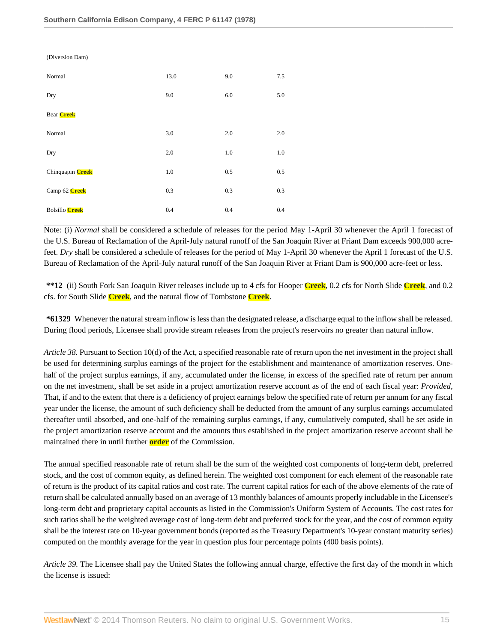| (Diversion Dam)       |         |         |     |
|-----------------------|---------|---------|-----|
| Normal                | 13.0    | 9.0     | 7.5 |
| Dry                   | 9.0     | 6.0     | 5.0 |
| <b>Bear Creek</b>     |         |         |     |
| Normal                | 3.0     | 2.0     | 2.0 |
| Dry                   | 2.0     | $1.0\,$ | 1.0 |
| Chinquapin Creek      | $1.0\,$ | 0.5     | 0.5 |
| Camp 62 Creek         | 0.3     | 0.3     | 0.3 |
| <b>Bolsillo Creek</b> | 0.4     | 0.4     | 0.4 |

Note: (i) *Normal* shall be considered a schedule of releases for the period May 1-April 30 whenever the April 1 forecast of the U.S. Bureau of Reclamation of the April-July natural runoff of the San Joaquin River at Friant Dam exceeds 900,000 acrefeet. *Dry* shall be considered a schedule of releases for the period of May 1-April 30 whenever the April 1 forecast of the U.S. Bureau of Reclamation of the April-July natural runoff of the San Joaquin River at Friant Dam is 900,000 acre-feet or less.

**\*\*12** (ii) South Fork San Joaquin River releases include up to 4 cfs for Hooper **Creek**, 0.2 cfs for North Slide **Creek**, and 0.2 cfs. for South Slide **Creek**, and the natural flow of Tombstone **Creek**.

**\*61329** Whenever the natural stream inflow is less than the designated release, a discharge equal to the inflow shall be released. During flood periods, Licensee shall provide stream releases from the project's reservoirs no greater than natural inflow.

*Article 38.* Pursuant to Section 10(d) of the Act, a specified reasonable rate of return upon the net investment in the project shall be used for determining surplus earnings of the project for the establishment and maintenance of amortization reserves. Onehalf of the project surplus earnings, if any, accumulated under the license, in excess of the specified rate of return per annum on the net investment, shall be set aside in a project amortization reserve account as of the end of each fiscal year: *Provided,* That, if and to the extent that there is a deficiency of project earnings below the specified rate of return per annum for any fiscal year under the license, the amount of such deficiency shall be deducted from the amount of any surplus earnings accumulated thereafter until absorbed, and one-half of the remaining surplus earnings, if any, cumulatively computed, shall be set aside in the project amortization reserve account and the amounts thus established in the project amortization reserve account shall be maintained there in until further **order** of the Commission.

The annual specified reasonable rate of return shall be the sum of the weighted cost components of long-term debt, preferred stock, and the cost of common equity, as defined herein. The weighted cost component for each element of the reasonable rate of return is the product of its capital ratios and cost rate. The current capital ratios for each of the above elements of the rate of return shall be calculated annually based on an average of 13 monthly balances of amounts properly includable in the Licensee's long-term debt and proprietary capital accounts as listed in the Commission's Uniform System of Accounts. The cost rates for such ratios shall be the weighted average cost of long-term debt and preferred stock for the year, and the cost of common equity shall be the interest rate on 10-year government bonds (reported as the Treasury Department's 10-year constant maturity series) computed on the monthly average for the year in question plus four percentage points (400 basis points).

*Article 39.* The Licensee shall pay the United States the following annual charge, effective the first day of the month in which the license is issued: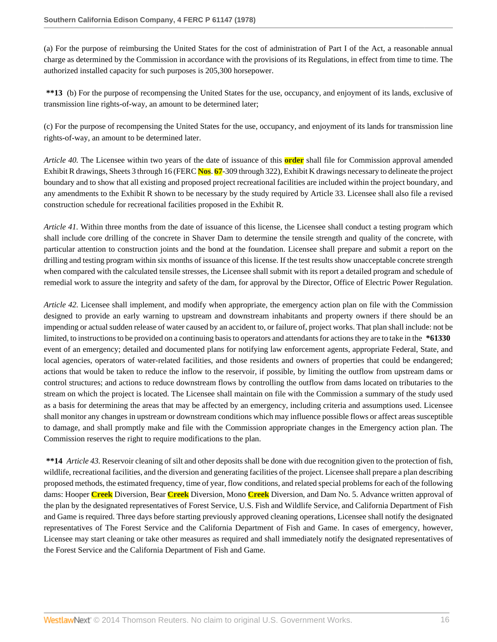(a) For the purpose of reimbursing the United States for the cost of administration of Part I of the Act, a reasonable annual charge as determined by the Commission in accordance with the provisions of its Regulations, in effect from time to time. The authorized installed capacity for such purposes is 205,300 horsepower.

**\*\*13** (b) For the purpose of recompensing the United States for the use, occupancy, and enjoyment of its lands, exclusive of transmission line rights-of-way, an amount to be determined later;

(c) For the purpose of recompensing the United States for the use, occupancy, and enjoyment of its lands for transmission line rights-of-way, an amount to be determined later.

*Article 40.* The Licensee within two years of the date of issuance of this **order** shall file for Commission approval amended Exhibit R drawings, Sheets 3 through 16 (FERC **Nos**. **67**-309 through 322), Exhibit K drawings necessary to delineate the project boundary and to show that all existing and proposed project recreational facilities are included within the project boundary, and any amendments to the Exhibit R shown to be necessary by the study required by Article 33. Licensee shall also file a revised construction schedule for recreational facilities proposed in the Exhibit R.

*Article 41.* Within three months from the date of issuance of this license, the Licensee shall conduct a testing program which shall include core drilling of the concrete in Shaver Dam to determine the tensile strength and quality of the concrete, with particular attention to construction joints and the bond at the foundation. Licensee shall prepare and submit a report on the drilling and testing program within six months of issuance of this license. If the test results show unacceptable concrete strength when compared with the calculated tensile stresses, the Licensee shall submit with its report a detailed program and schedule of remedial work to assure the integrity and safety of the dam, for approval by the Director, Office of Electric Power Regulation.

*Article 42.* Licensee shall implement, and modify when appropriate, the emergency action plan on file with the Commission designed to provide an early warning to upstream and downstream inhabitants and property owners if there should be an impending or actual sudden release of water caused by an accident to, or failure of, project works. That plan shall include: not be limited, to instructions to be provided on a continuing basis to operators and attendants for actions they are to take in the **\*61330** event of an emergency; detailed and documented plans for notifying law enforcement agents, appropriate Federal, State, and local agencies, operators of water-related facilities, and those residents and owners of properties that could be endangered; actions that would be taken to reduce the inflow to the reservoir, if possible, by limiting the outflow from upstream dams or control structures; and actions to reduce downstream flows by controlling the outflow from dams located on tributaries to the stream on which the project is located. The Licensee shall maintain on file with the Commission a summary of the study used as a basis for determining the areas that may be affected by an emergency, including criteria and assumptions used. Licensee shall monitor any changes in upstream or downstream conditions which may influence possible flows or affect areas susceptible to damage, and shall promptly make and file with the Commission appropriate changes in the Emergency action plan. The Commission reserves the right to require modifications to the plan.

**\*\*14** *Article 43.* Reservoir cleaning of silt and other deposits shall be done with due recognition given to the protection of fish, wildlife, recreational facilities, and the diversion and generating facilities of the project. Licensee shall prepare a plan describing proposed methods, the estimated frequency, time of year, flow conditions, and related special problems for each of the following dams: Hooper **Creek** Diversion, Bear **Creek** Diversion, Mono **Creek** Diversion, and Dam No. 5. Advance written approval of the plan by the designated representatives of Forest Service, U.S. Fish and Wildlife Service, and California Department of Fish and Game is required. Three days before starting previously approved cleaning operations, Licensee shall notify the designated representatives of The Forest Service and the California Department of Fish and Game. In cases of emergency, however, Licensee may start cleaning or take other measures as required and shall immediately notify the designated representatives of the Forest Service and the California Department of Fish and Game.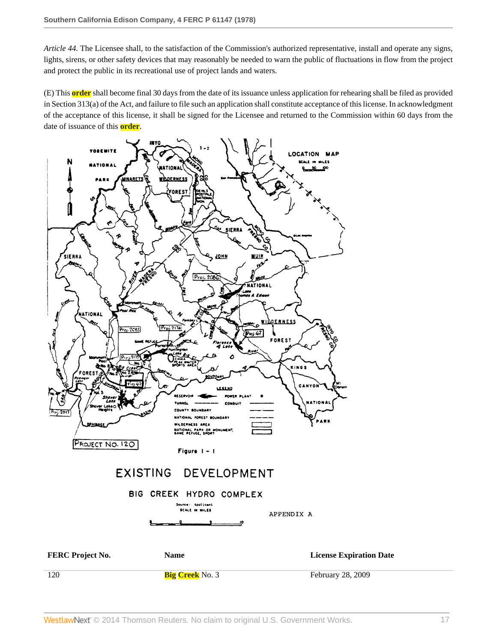*Article 44.* The Licensee shall, to the satisfaction of the Commission's authorized representative, install and operate any signs, lights, sirens, or other safety devices that may reasonably be needed to warn the public of fluctuations in flow from the project and protect the public in its recreational use of project lands and waters.

(E) This **order** shall become final 30 days from the date of its issuance unless application for rehearing shall be filed as provided in Section 313(a) of the Act, and failure to file such an application shall constitute acceptance of this license. In acknowledgment of the acceptance of this license, it shall be signed for the Licensee and returned to the Commission within 60 days from the date of issuance of this **order**.